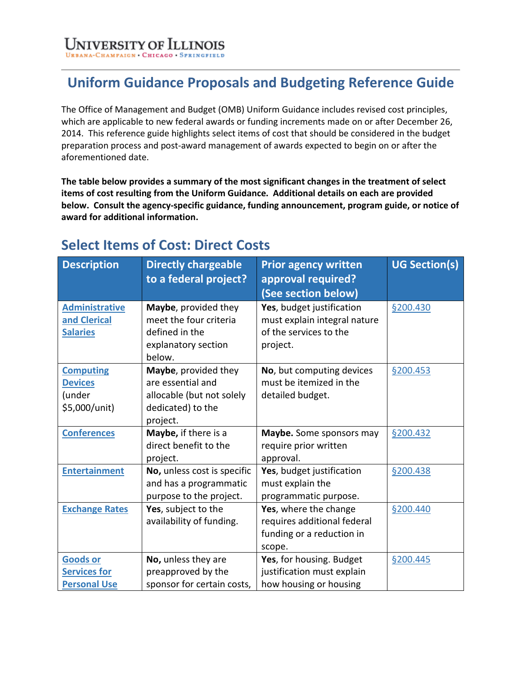### **Uniform Guidance Proposals and Budgeting Reference Guide**

The Office of Management and Budget (OMB) Uniform Guidance includes revised cost principles, which are applicable to new federal awards or funding increments made on or after December 26, 2014. This reference guide highlights select items of cost that should be considered in the budget preparation process and post-award management of awards expected to begin on or after the aforementioned date.

**The table below provides a summary of the most significant changes in the treatment of select items of cost resulting from the Uniform Guidance. Additional details on each are provided below. Consult the agency-specific guidance, funding announcement, program guide, or notice of award for additional information.**

#### **Description Directly chargeable to a federal project? Prior agency written approval required? (See section below) UG Section(s) [Administrative](#page-3-0)  [and Clerical](#page-3-0)  [Salaries](#page-3-0) Maybe**, provided they meet the four criteria defined in the explanatory section below. **Yes**, budget justification must explain integral nature of the services to the project. [§200.430](https://www.ecfr.gov/current/title-2/part-200#200.430) **[Computing](#page-4-0)  [Devices](#page-4-0)** (under \$5,000/unit) **Maybe**, provided they are essential and allocable (but not solely dedicated) to the project. **No**, but computing devices must be itemized in the detailed budget. [§200.453](https://www.ecfr.gov/current/title-2/part-200#200.453) **[Conferences](#page-4-1)** | **Maybe**, if there is a direct benefit to the project. **Maybe.** Some sponsors may require prior written approval. [§200.432](https://www.ecfr.gov/current/title-2/part-200#200.432) **[Entertainment](#page-5-0)** | **No,** unless cost is specific and has a programmatic purpose to the project. **Yes**, budget justification must explain the programmatic purpose. [§200.438](https://www.ecfr.gov/current/title-2/part-200#200.438) **[Exchange Rates](#page-5-1) Yes**, subject to the availability of funding. **Yes**, where the change requires additional federal funding or a reduction in scope. [§200.440](https://www.ecfr.gov/current/title-2/part-200#200.440) **[Goods or](#page-5-2)  [Services for](#page-5-2)  [Personal Use](#page-5-2)  No,** unless they are preapproved by the sponsor for certain costs, **Yes**, for housing. Budget justification must explain how housing or housing [§200.445](https://www.ecfr.gov/current/title-2/part-200#200.445)

### **Select Items of Cost: Direct Costs**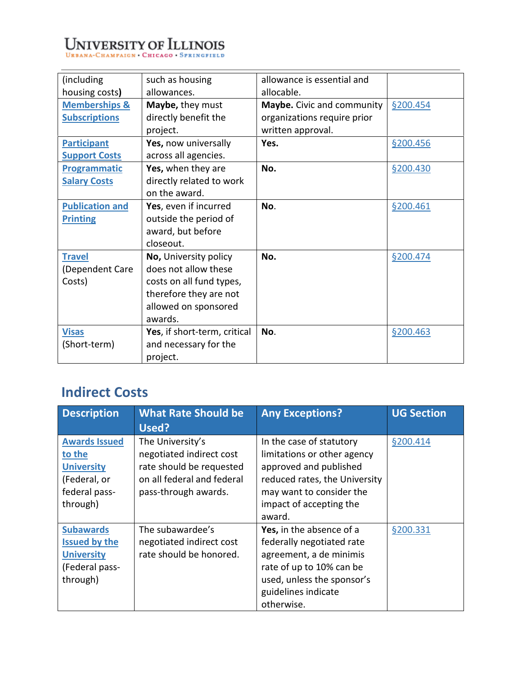# UNIVERSITY OF ILLINOIS

| (including)              | such as housing              | allowance is essential and  |          |
|--------------------------|------------------------------|-----------------------------|----------|
| housing costs)           | allowances.                  | allocable.                  |          |
| <b>Memberships &amp;</b> | Maybe, they must             | Maybe. Civic and community  | §200.454 |
| <b>Subscriptions</b>     | directly benefit the         | organizations require prior |          |
|                          | project.                     | written approval.           |          |
| <b>Participant</b>       | Yes, now universally         | Yes.                        | §200.456 |
| <b>Support Costs</b>     | across all agencies.         |                             |          |
| <b>Programmatic</b>      | Yes, when they are           | No.                         | §200.430 |
| <b>Salary Costs</b>      | directly related to work     |                             |          |
|                          | on the award.                |                             |          |
| <b>Publication and</b>   | Yes, even if incurred        | No.                         | §200.461 |
| <b>Printing</b>          | outside the period of        |                             |          |
|                          | award, but before            |                             |          |
|                          | closeout.                    |                             |          |
| <b>Travel</b>            | No, University policy        | No.                         | §200.474 |
| (Dependent Care          | does not allow these         |                             |          |
| Costs)                   | costs on all fund types,     |                             |          |
|                          | therefore they are not       |                             |          |
|                          | allowed on sponsored         |                             |          |
|                          | awards.                      |                             |          |
| <b>Visas</b>             | Yes, if short-term, critical | No.                         | §200.463 |
| (Short-term)             | and necessary for the        |                             |          |
|                          | project.                     |                             |          |

### **Indirect Costs**

| <b>Description</b>                                                                               | <b>What Rate Should be</b><br>Used?                                                                                            | <b>Any Exceptions?</b>                                                                                                                                                              | <b>UG Section</b> |
|--------------------------------------------------------------------------------------------------|--------------------------------------------------------------------------------------------------------------------------------|-------------------------------------------------------------------------------------------------------------------------------------------------------------------------------------|-------------------|
| <b>Awards Issued</b><br>to the<br><b>University</b><br>(Federal, or<br>federal pass-<br>through) | The University's<br>negotiated indirect cost<br>rate should be requested<br>on all federal and federal<br>pass-through awards. | In the case of statutory<br>limitations or other agency<br>approved and published<br>reduced rates, the University<br>may want to consider the<br>impact of accepting the<br>award. | §200.414          |
| <b>Subawards</b><br><b>Issued by the</b><br><b>University</b><br>(Federal pass-<br>through)      | The subawardee's<br>negotiated indirect cost<br>rate should be honored.                                                        | Yes, in the absence of a<br>federally negotiated rate<br>agreement, a de minimis<br>rate of up to 10% can be<br>used, unless the sponsor's<br>guidelines indicate<br>otherwise.     | §200.331          |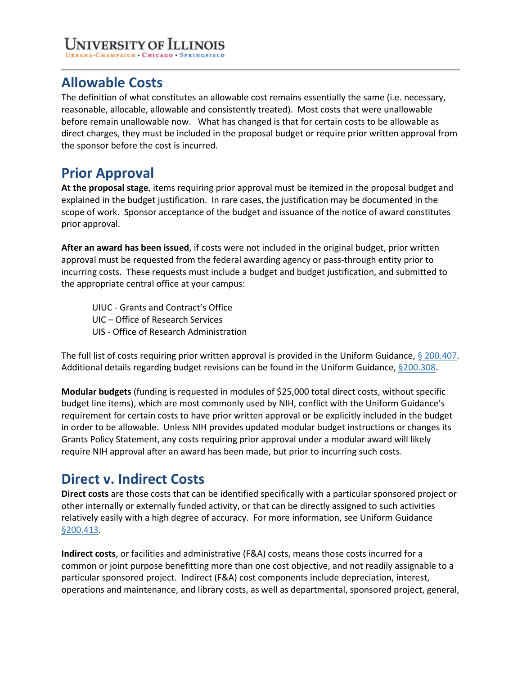## University of Ii

CHAMPAIGN CHICAGO SP

### **Allowable Costs**

The definition of what constitutes an allowable cost remains essentially the same (i.e. necessary, reasonable, allocable, allowable and consistently treated). Most costs that were unallowable before remain unallowable now. What has changed is that for certain costs to be allowable as direct charges, they must be included in the proposal budget or require prior written approval from the sponsor before the cost is incurred.

### **Prior Approval**

**At the proposal stage**, items requiring prior approval must be itemized in the proposal budget and explained in the budget justification. In rare cases, the justification may be documented in the scope of work. Sponsor acceptance of the budget and issuance of the notice of award constitutes prior approval.

**After an award has been issued**, if costs were not included in the original budget, prior written approval must be requested from the federal awarding agency or pass-through entity prior to incurring costs. These requests must include a budget and budget justification, and submitted to the appropriate central office at your campus:

UIUC - Grants and Contract's Office UIC – Office of Research Services UIS - Office of Research Administration

The full list of costs requiring prior written approval is provided in the Uniform Guidance, [§ 200.407.](https://www.ecfr.gov/current/title-2/part-200#200.407) Additional details regarding budget revisions can be found in the Uniform Guidance, [§200.308.](https://www.ecfr.gov/current/title-2/part-200#200.308)

**Modular budgets** (funding is requested in modules of \$25,000 total direct costs, without specific budget line items), which are most commonly used by NIH, conflict with the Uniform Guidance's requirement for certain costs to have prior written approval or be explicitly included in the budget in order to be allowable. Unless NIH provides updated modular budget instructions or changes its Grants Policy Statement, any costs requiring prior approval under a modular award will likely require NIH approval after an award has been made, but prior to incurring such costs.

### **Direct v. Indirect Costs**

**Direct costs** are those costs that can be identified specifically with a particular sponsored project or other internally or externally funded activity, or that can be directly assigned to such activities relatively easily with a high degree of accuracy. For more information, see Uniform Guidance [§200.413.](https://www.ecfr.gov/current/title-2/part-200#200.413)

**Indirect costs**, or facilities and administrative (F&A) costs, means those costs incurred for a common or joint purpose benefitting more than one cost objective, and not readily assignable to a particular sponsored project. Indirect (F&A) cost components include depreciation, interest, operations and maintenance, and library costs, as well as departmental, sponsored project, general,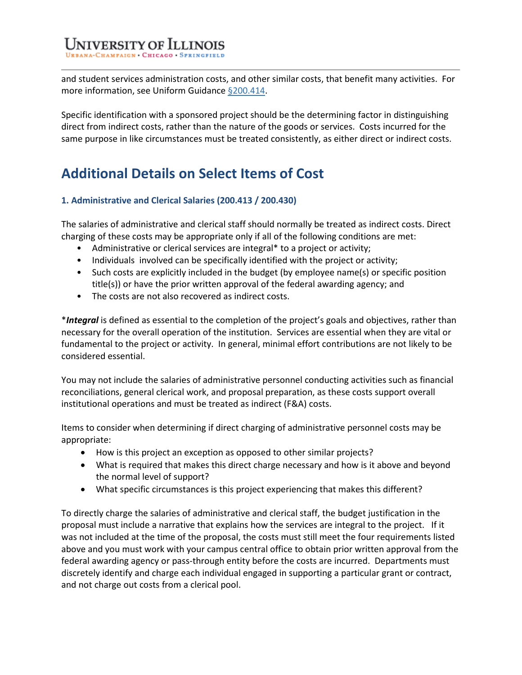**UNIVERSITY OF ILLING** 

and student services administration costs, and other similar costs, that benefit many activities. For more information, see Uniform Guidance [§200.414.](https://www.ecfr.gov/current/title-2/part-200#200.414)

Specific identification with a sponsored project should be the determining factor in distinguishing direct from indirect costs, rather than the nature of the goods or services. Costs incurred for the same purpose in like circumstances must be treated consistently, as either direct or indirect costs.

### **Additional Details on Select Items of Cost**

### <span id="page-3-0"></span>**1. Administrative and Clerical Salaries (200.413 / 200.430)**

The salaries of administrative and clerical staff should normally be treated as indirect costs. Direct charging of these costs may be appropriate only if all of the following conditions are met:

- Administrative or clerical services are integral\* to a project or activity;
- Individuals involved can be specifically identified with the project or activity;
- Such costs are explicitly included in the budget (by employee name(s) or specific position title(s)) or have the prior written approval of the federal awarding agency; and
- The costs are not also recovered as indirect costs.

\**Integral* is defined as essential to the completion of the project's goals and objectives, rather than necessary for the overall operation of the institution. Services are essential when they are vital or fundamental to the project or activity. In general, minimal effort contributions are not likely to be considered essential.

You may not include the salaries of administrative personnel conducting activities such as financial reconciliations, general clerical work, and proposal preparation, as these costs support overall institutional operations and must be treated as indirect (F&A) costs.

Items to consider when determining if direct charging of administrative personnel costs may be appropriate:

- How is this project an exception as opposed to other similar projects?
- What is required that makes this direct charge necessary and how is it above and beyond the normal level of support?
- What specific circumstances is this project experiencing that makes this different?

To directly charge the salaries of administrative and clerical staff, the budget justification in the proposal must include a narrative that explains how the services are integral to the project. If it was not included at the time of the proposal, the costs must still meet the four requirements listed above and you must work with your campus central office to obtain prior written approval from the federal awarding agency or pass-through entity before the costs are incurred. Departments must discretely identify and charge each individual engaged in supporting a particular grant or contract, and not charge out costs from a clerical pool.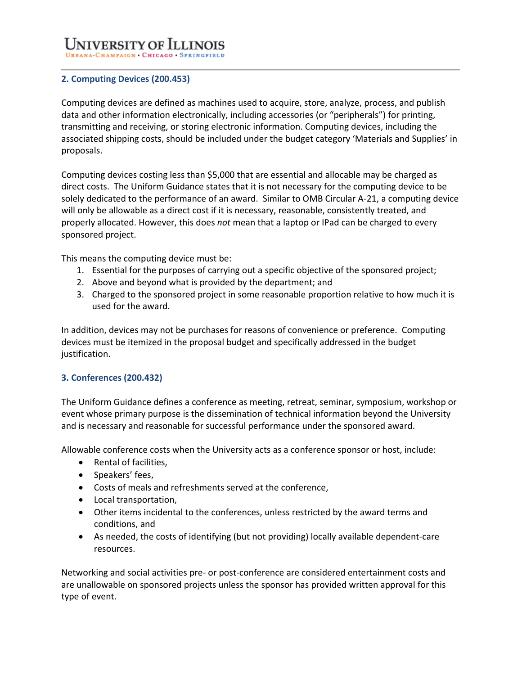### Jniversity of Illii

#### <span id="page-4-0"></span>**2. Computing Devices (200.453)**

Computing devices are defined as machines used to acquire, store, analyze, process, and publish data and other information electronically, including accessories (or "peripherals") for printing, transmitting and receiving, or storing electronic information. Computing devices, including the associated shipping costs, should be included under the budget category 'Materials and Supplies' in proposals.

Computing devices costing less than \$5,000 that are essential and allocable may be charged as direct costs. The Uniform Guidance states that it is not necessary for the computing device to be solely dedicated to the performance of an award. Similar to OMB Circular A-21, a computing device will only be allowable as a direct cost if it is necessary, reasonable, consistently treated, and properly allocated. However, this does *not* mean that a laptop or IPad can be charged to every sponsored project.

This means the computing device must be:

- 1. Essential for the purposes of carrying out a specific objective of the sponsored project;
- 2. Above and beyond what is provided by the department; and
- 3. Charged to the sponsored project in some reasonable proportion relative to how much it is used for the award.

In addition, devices may not be purchases for reasons of convenience or preference. Computing devices must be itemized in the proposal budget and specifically addressed in the budget justification.

### <span id="page-4-1"></span>**3. Conferences (200.432)**

The Uniform Guidance defines a conference as meeting, retreat, seminar, symposium, workshop or event whose primary purpose is the dissemination of technical information beyond the University and is necessary and reasonable for successful performance under the sponsored award.

Allowable conference costs when the University acts as a conference sponsor or host, include:

- Rental of facilities,
- Speakers' fees,
- Costs of meals and refreshments served at the conference,
- Local transportation,
- Other items incidental to the conferences, unless restricted by the award terms and conditions, and
- As needed, the costs of identifying (but not providing) locally available dependent-care resources.

Networking and social activities pre- or post-conference are considered entertainment costs and are unallowable on sponsored projects unless the sponsor has provided written approval for this type of event.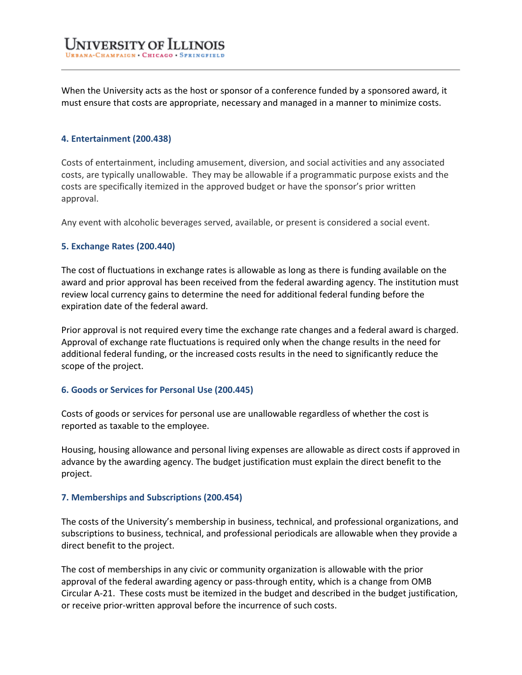When the University acts as the host or sponsor of a conference funded by a sponsored award, it must ensure that costs are appropriate, necessary and managed in a manner to minimize costs.

#### <span id="page-5-0"></span>**4. Entertainment (200.438)**

Costs of entertainment, including amusement, diversion, and social activities and any associated costs, are typically unallowable. They may be allowable if a programmatic purpose exists and the costs are specifically itemized in the approved budget or have the sponsor's prior written approval.

Any event with alcoholic beverages served, available, or present is considered a social event.

#### <span id="page-5-1"></span>**5. Exchange Rates (200.440)**

The cost of fluctuations in exchange rates is allowable as long as there is funding available on the award and prior approval has been received from the federal awarding agency. The institution must review local currency gains to determine the need for additional federal funding before the expiration date of the federal award.

Prior approval is not required every time the exchange rate changes and a federal award is charged. Approval of exchange rate fluctuations is required only when the change results in the need for additional federal funding, or the increased costs results in the need to significantly reduce the scope of the project.

#### <span id="page-5-2"></span>**6. Goods or Services for Personal Use (200.445)**

Costs of goods or services for personal use are unallowable regardless of whether the cost is reported as taxable to the employee.

Housing, housing allowance and personal living expenses are allowable as direct costs if approved in advance by the awarding agency. The budget justification must explain the direct benefit to the project.

#### <span id="page-5-3"></span>**7. Memberships and Subscriptions (200.454)**

The costs of the University's membership in business, technical, and professional organizations, and subscriptions to business, technical, and professional periodicals are allowable when they provide a direct benefit to the project.

The cost of memberships in any civic or community organization is allowable with the prior approval of the federal awarding agency or pass-through entity, which is a change from OMB Circular A-21. These costs must be itemized in the budget and described in the budget justification, or receive prior-written approval before the incurrence of such costs.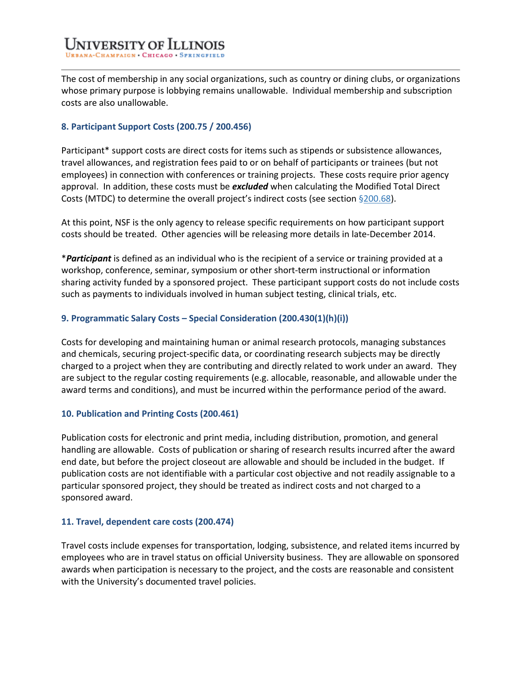The cost of membership in any social organizations, such as country or dining clubs, or organizations whose primary purpose is lobbying remains unallowable. Individual membership and subscription costs are also unallowable.

### <span id="page-6-0"></span>**8. Participant Support Costs (200.75 / 200.456)**

Participant\* support costs are direct costs for items such as stipends or subsistence allowances, travel allowances, and registration fees paid to or on behalf of participants or trainees (but not employees) in connection with conferences or training projects. These costs require prior agency approval. In addition, these costs must be *excluded* when calculating the Modified Total Direct Costs (MTDC) to determine the overall project's indirect costs (see section [§200.68\)](https://www.ecfr.gov/current/title-2/part-200#200.68).

At this point, NSF is the only agency to release specific requirements on how participant support costs should be treated. Other agencies will be releasing more details in late-December 2014.

\**Participant* is defined as an individual who is the recipient of a service or training provided at a workshop, conference, seminar, symposium or other short-term instructional or information sharing activity funded by a sponsored project. These participant support costs do not include costs such as payments to individuals involved in human subject testing, clinical trials, etc.

### <span id="page-6-1"></span>**9. Programmatic Salary Costs – Special Consideration (200.430(1)(h)(i))**

Costs for developing and maintaining human or animal research protocols, managing substances and chemicals, securing project-specific data, or coordinating research subjects may be directly charged to a project when they are contributing and directly related to work under an award. They are subject to the regular costing requirements (e.g. allocable, reasonable, and allowable under the award terms and conditions), and must be incurred within the performance period of the award.

#### <span id="page-6-2"></span>**10. Publication and Printing Costs (200.461)**

Publication costs for electronic and print media, including distribution, promotion, and general handling are allowable. Costs of publication or sharing of research results incurred after the award end date, but before the project closeout are allowable and should be included in the budget. If publication costs are not identifiable with a particular cost objective and not readily assignable to a particular sponsored project, they should be treated as indirect costs and not charged to a sponsored award.

### <span id="page-6-3"></span>**11. Travel, dependent care costs (200.474)**

Travel costs include expenses for transportation, lodging, subsistence, and related items incurred by employees who are in travel status on official University business. They are allowable on sponsored awards when participation is necessary to the project, and the costs are reasonable and consistent with the University's documented travel policies.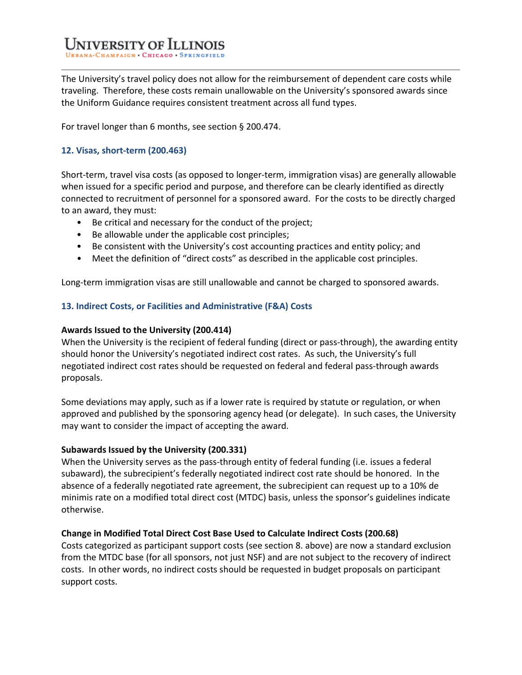The University's travel policy does not allow for the reimbursement of dependent care costs while traveling. Therefore, these costs remain unallowable on the University's sponsored awards since the Uniform Guidance requires consistent treatment across all fund types.

For travel longer than 6 months, see section § 200.474.

### <span id="page-7-0"></span>**12. Visas, short-term (200.463)**

Short-term, travel visa costs (as opposed to longer-term, immigration visas) are generally allowable when issued for a specific period and purpose, and therefore can be clearly identified as directly connected to recruitment of personnel for a sponsored award. For the costs to be directly charged to an award, they must:

- Be critical and necessary for the conduct of the project;
- Be allowable under the applicable cost principles;
- Be consistent with the University's cost accounting practices and entity policy; and
- Meet the definition of "direct costs" as described in the applicable cost principles.

Long-term immigration visas are still unallowable and cannot be charged to sponsored awards.

### **13. Indirect Costs, or Facilities and Administrative (F&A) Costs**

#### <span id="page-7-1"></span>**Awards Issued to the University (200.414)**

When the University is the recipient of federal funding (direct or pass-through), the awarding entity should honor the University's negotiated indirect cost rates. As such, the University's full negotiated indirect cost rates should be requested on federal and federal pass-through awards proposals.

Some deviations may apply, such as if a lower rate is required by statute or regulation, or when approved and published by the sponsoring agency head (or delegate). In such cases, the University may want to consider the impact of accepting the award.

#### <span id="page-7-2"></span>**Subawards Issued by the University (200.331)**

When the University serves as the pass-through entity of federal funding (i.e. issues a federal subaward), the subrecipient's federally negotiated indirect cost rate should be honored. In the absence of a federally negotiated rate agreement, the subrecipient can request up to a 10% de minimis rate on a modified total direct cost (MTDC) basis, unless the sponsor's guidelines indicate otherwise.

#### **Change in Modified Total Direct Cost Base Used to Calculate Indirect Costs (200.68)**

Costs categorized as participant support costs (see section 8. above) are now a standard exclusion from the MTDC base (for all sponsors, not just NSF) and are not subject to the recovery of indirect costs. In other words, no indirect costs should be requested in budget proposals on participant support costs.